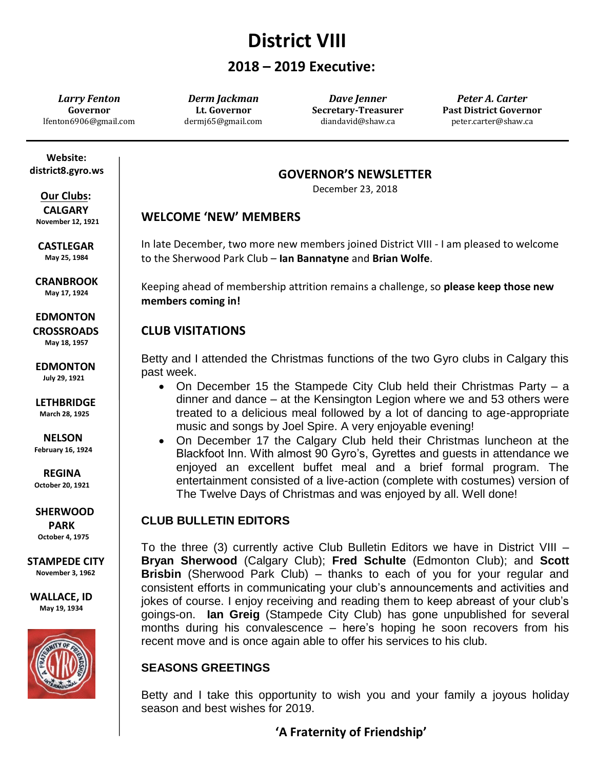# **District VIII**

# **2018 – 2019 Executive:**

*Larry Fenton* **Governor** lfenton6906@gmail.com

*Derm Jackman* **Lt. Governor** dermj65@gmail.com

*Dave Jenner* **Secretary-Treasurer** diandavid@shaw.ca

*Peter A. Carter* **Past District Governor** peter.carter@shaw.ca

**GOVERNOR'S NEWSLETTER** 

December 23, 2018

### **WELCOME 'NEW' MEMBERS**

In late December, two more new members joined District VIII - I am pleased to welcome to the Sherwood Park Club – **Ian Bannatyne** and **Brian Wolfe**.

Keeping ahead of membership attrition remains a challenge, so **please keep those new members coming in!**

## **CLUB VISITATIONS**

Betty and I attended the Christmas functions of the two Gyro clubs in Calgary this past week.

- On December 15 the Stampede City Club held their Christmas Party a dinner and dance – at the Kensington Legion where we and 53 others were treated to a delicious meal followed by a lot of dancing to age-appropriate music and songs by Joel Spire. A very enjoyable evening!
- On December 17 the Calgary Club held their Christmas luncheon at the Blackfoot Inn. With almost 90 Gyro's, Gyrettes and guests in attendance we enjoyed an excellent buffet meal and a brief formal program. The entertainment consisted of a live-action (complete with costumes) version of The Twelve Days of Christmas and was enjoyed by all. Well done!

## **CLUB BULLETIN EDITORS**

To the three (3) currently active Club Bulletin Editors we have in District VIII – **Bryan Sherwood** (Calgary Club); **Fred Schulte** (Edmonton Club); and **Scott Brisbin** (Sherwood Park Club) – thanks to each of you for your regular and consistent efforts in communicating your club's announcements and activities and jokes of course. I enjoy receiving and reading them to keep abreast of your club's goings-on. **Ian Greig** (Stampede City Club) has gone unpublished for several months during his convalescence – here's hoping he soon recovers from his recent move and is once again able to offer his services to his club.

## **SEASONS GREETINGS**

Betty and I take this opportunity to wish you and your family a joyous holiday season and best wishes for 2019.

## **'A Fraternity of Friendship'**

 **Website: district8.gyro.ws**

 **Our Clubs: CALGARY November 12, 1921**

 **CASTLEGAR May 25, 1984**

 **CRANBROOK May 17, 1924**

 **EDMONTON CROSSROADS May 18, 1957**

 **EDMONTON July 29, 1921**

 **LETHBRIDGE March 28, 1925**

 **NELSON February 16, 1924**

 **REGINA October 20, 1921**

 **SHERWOOD PARK October 4, 1975**

**STAMPEDE CITY November 3, 1962**

**WALLACE, ID May 19, 1934**